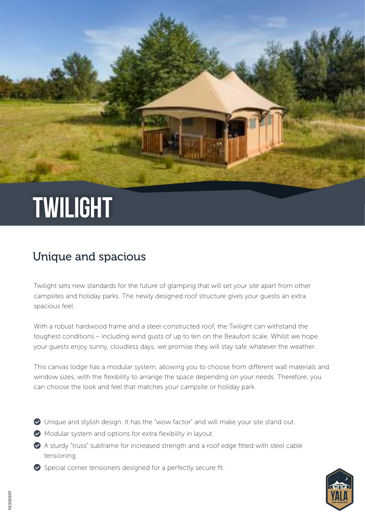# **TWILIGHT**

### Unique and spacious

Twilight sets new standards for the future of glamping that will set your site apart from other campsites and holiday parks. The newly designed roof structure gives your guests an extra spacious feel.

With a robust hardwood frame and a steel-constructed roof, the Twilight can withstand the toughest conditions – including wind gusts of up to ten on the Beaufort scale. Whilst we hope your guests enjoy sunny, cloudless days, we promise they will stay safe whatever the weather.

This canvas lodge has a modular system, allowing you to choose from different wall materials and window sizes, with the flexibility to arrange the space depending on your needs. Therefore, you can choose the look and feel that matches your campsite or holiday park.

- Unique and stylish design. It has the "wow factor" and will make your site stand out.
- Modular system and options for extra flexibility in layout.
- A sturdy "truss" subframe for increased strength and a roof edge fitted with steel cable tensioning.
- $\bullet$  Special corner tensioners designed for a perfectly secure fit.

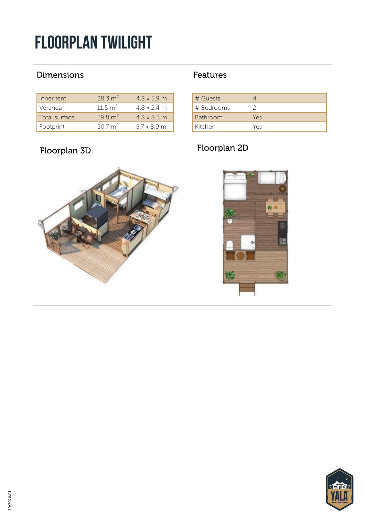## floorplan Twilight

### Dimensions **Features**

| Inner tent    | 28.3 m <sup>2</sup> | 48x59m             |
|---------------|---------------------|--------------------|
| Veranda       | 11.5 $m^2$          | $4.8 \times 2.4$ m |
| Total surface | $39.8 \text{ m}^2$  | 48x83m             |
| Footprint     | 50.7 m <sup>2</sup> | 57x89m             |

| # Guests        |     |
|-----------------|-----|
| # Bedrooms      |     |
| <b>Bathroom</b> | Yes |
| Kitchen         | Yes |

## Floorplan 3D Floorplan 2D



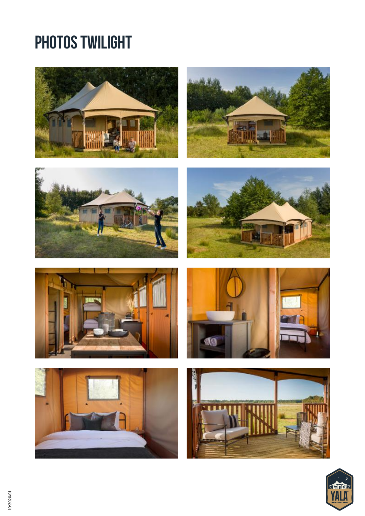## PHOTOS TWILIGHT